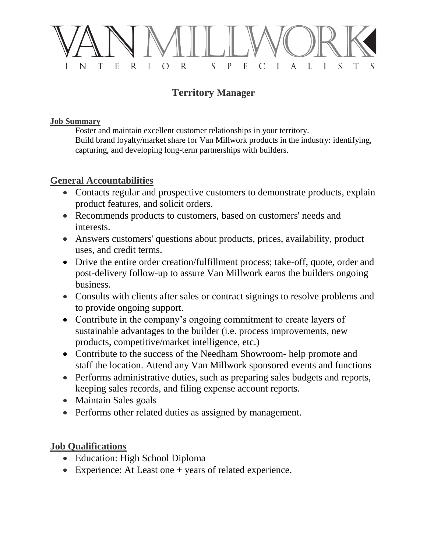

# **Territory Manager**

#### **Job Summary**

Foster and maintain excellent customer relationships in your territory. Build brand loyalty/market share for Van Millwork products in the industry: identifying, capturing, and developing long-term partnerships with builders.

### **General Accountabilities**

- Contacts regular and prospective customers to demonstrate products, explain product features, and solicit orders.
- Recommends products to customers, based on customers' needs and interests.
- Answers customers' questions about products, prices, availability, product uses, and credit terms.
- Drive the entire order creation/fulfillment process; take-off, quote, order and post-delivery follow-up to assure Van Millwork earns the builders ongoing business.
- Consults with clients after sales or contract signings to resolve problems and to provide ongoing support.
- Contribute in the company's ongoing commitment to create layers of sustainable advantages to the builder (i.e. process improvements, new products, competitive/market intelligence, etc.)
- Contribute to the success of the Needham Showroom- help promote and staff the location. Attend any Van Millwork sponsored events and functions
- Performs administrative duties, such as preparing sales budgets and reports, keeping sales records, and filing expense account reports.
- Maintain Sales goals
- Performs other related duties as assigned by management.

### **Job Qualifications**

- Education: High School Diploma
- Experience: At Least one + years of related experience.